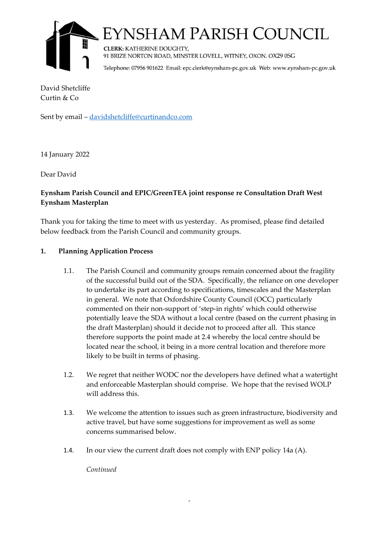

# NSHAM PARISH COUNCIL

**CLERK: KATHERINE DOUGHTY.** 91 BRIZE NORTON ROAD, MINSTER LOVELL, WITNEY, OXON. OX29 0SG

Telephone: 07956 901622 Email: epc.clerk@eynsham-pc.gov.uk Web: www.eynsham-pc.gov.uk

David Shetcliffe Curtin & Co

Sent by email – [davidshetcliffe@curtinandco.com](mailto:davidshetcliffe@curtinandco.com)

14 January 2022

Dear David

# **Eynsham Parish Council and EPIC/GreenTEA joint response re Consultation Draft West Eynsham Masterplan**

Thank you for taking the time to meet with us yesterday. As promised, please find detailed below feedback from the Parish Council and community groups.

# **1. Planning Application Process**

- 1.1. The Parish Council and community groups remain concerned about the fragility of the successful build out of the SDA. Specifically, the reliance on one developer to undertake its part according to specifications, timescales and the Masterplan in general. We note that Oxfordshire County Council (OCC) particularly commented on their non-support of 'step-in rights' which could otherwise potentially leave the SDA without a local centre (based on the current phasing in the draft Masterplan) should it decide not to proceed after all. This stance therefore supports the point made at 2.4 whereby the local centre should be located near the school, it being in a more central location and therefore more likely to be built in terms of phasing.
- 1.2. We regret that neither WODC nor the developers have defined what a watertight and enforceable Masterplan should comprise. We hope that the revised WOLP will address this.
- 1.3. We welcome the attention to issues such as green infrastructure, biodiversity and active travel, but have some suggestions for improvement as well as some concerns summarised below.
- 1.4. In our view the current draft does not comply with ENP policy 14a (A).

*Continued*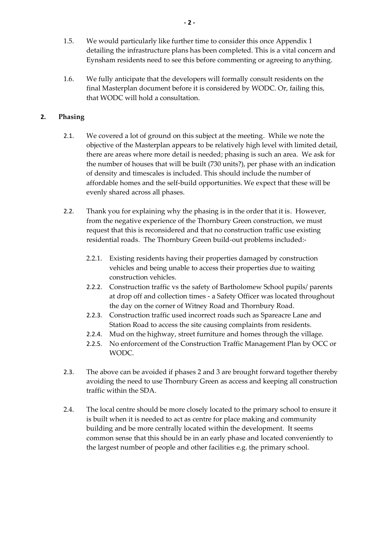- 1.5. We would particularly like further time to consider this once Appendix 1 detailing the infrastructure plans has been completed. This is a vital concern and Eynsham residents need to see this before commenting or agreeing to anything.
- 1.6. We fully anticipate that the developers will formally consult residents on the final Masterplan document before it is considered by WODC. Or, failing this, that WODC will hold a consultation.

# **2. Phasing**

- 2.1. We covered a lot of ground on this subject at the meeting. While we note the objective of the Masterplan appears to be relatively high level with limited detail, there are areas where more detail is needed; phasing is such an area. We ask for the number of houses that will be built (730 units?), per phase with an indication of density and timescales is included. This should include the number of affordable homes and the self-build opportunities. We expect that these will be evenly shared across all phases.
- 2.2. Thank you for explaining why the phasing is in the order that it is. However, from the negative experience of the Thornbury Green construction, we must request that this is reconsidered and that no construction traffic use existing residential roads. The Thornbury Green build-out problems included:-
	- 2.2.1. Existing residents having their properties damaged by construction vehicles and being unable to access their properties due to waiting construction vehicles.
	- 2.2.2. Construction traffic vs the safety of Bartholomew School pupils/ parents at drop off and collection times - a Safety Officer was located throughout the day on the corner of Witney Road and Thornbury Road.
	- 2.2.3. Construction traffic used incorrect roads such as Spareacre Lane and Station Road to access the site causing complaints from residents.
	- 2.2.4. Mud on the highway, street furniture and homes through the village.
	- 2.2.5. No enforcement of the Construction Traffic Management Plan by OCC or WODC.
- 2.3. The above can be avoided if phases 2 and 3 are brought forward together thereby avoiding the need to use Thornbury Green as access and keeping all construction traffic within the SDA.
- 2.4. The local centre should be more closely located to the primary school to ensure it is built when it is needed to act as centre for place making and community building and be more centrally located within the development. It seems common sense that this should be in an early phase and located conveniently to the largest number of people and other facilities e.g. the primary school.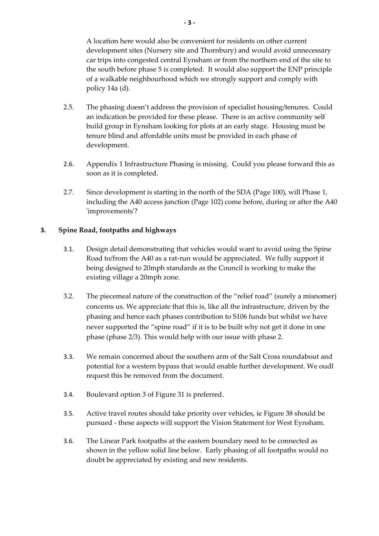A location here would also be convenient for residents on other current development sites (Nursery site and Thornbury) and would avoid unnecessary car trips into congested central Eynsham or from the northern end of the site to the south before phase 5 is completed. It would also support the ENP principle of a walkable neighbourhood which we strongly support and comply with policy 14a (d).

- 2.5. The phasing doesn't address the provision of specialist housing/tenures. Could an indication be provided for these please. There is an active community self build group in Eynsham looking for plots at an early stage. Housing must be tenure blind and affordable units must be provided in each phase of development.
- 2.6. Appendix 1 Infrastructure Phasing is missing. Could you please forward this as soon as it is completed.
- 2.7. Since development is starting in the north of the SDA (Page 100), will Phase 1, including the A40 access junction (Page 102) come before, during or after the A40 'improvements'?

### **3. Spine Road, footpaths and highways**

- 3.1. Design detail demonstrating that vehicles would want to avoid using the Spine Road to/from the A40 as a rat-run would be appreciated. We fully support it being designed to 20mph standards as the Council is working to make the existing village a 20mph zone.
- 3.2. The piecemeal nature of the construction of the "relief road" (surely a misnomer) concerns us. We appreciate that this is, like all the infrastructure, driven by the phasing and hence each phases contribution to S106 funds but whilst we have never supported the "spine road" if it is to be built why not get it done in one phase (phase 2/3). This would help with our issue with phase 2.
- 3.3. We remain concerned about the southern arm of the Salt Cross roundabout and potential for a western bypass that would enable further development. We oudl request this be removed from the document.
- 3.4. Boulevard option 3 of Figure 31 is preferred.
- 3.5. Active travel routes should take priority over vehicles, ie Figure 38 should be pursued - these aspects will support the Vision Statement for West Eynsham.
- 3.6. The Linear Park footpaths at the eastern boundary need to be connected as shown in the yellow solid line below. Early phasing of all footpaths would no doubt be appreciated by existing and new residents.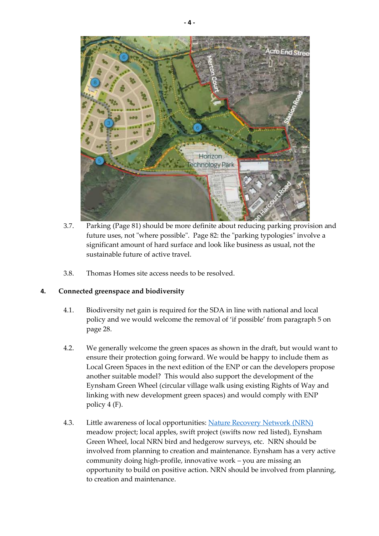

- 3.7. Parking (Page 81) should be more definite about reducing parking provision and future uses, not "where possible". Page 82: the "parking typologies" involve a significant amount of hard surface and look like business as usual, not the sustainable future of active travel.
- 3.8. Thomas Homes site access needs to be resolved.

### **4. Connected greenspace and biodiversity**

- 4.1. Biodiversity net gain is required for the SDA in line with national and local policy and we would welcome the removal of 'if possible' from paragraph 5 on page 28.
- 4.2. We generally welcome the green spaces as shown in the draft, but would want to ensure their protection going forward. We would be happy to include them as Local Green Spaces in the next edition of the ENP or can the developers propose another suitable model? This would also support the development of the Eynsham Green Wheel (circular village walk using existing Rights of Way and linking with new development green spaces) and would comply with ENP policy 4 (F).
- 4.3. Little awareness of local opportunities: [Nature Recovery Network \(NRN\)](https://nature-recovery-network.org/) meadow project; local apples, swift project (swifts now red listed), Eynsham Green Wheel, local NRN bird and hedgerow surveys, etc. NRN should be involved from planning to creation and maintenance. Eynsham has a very active community doing high-profile, innovative work – you are missing an opportunity to build on positive action. NRN should be involved from planning, to creation and maintenance.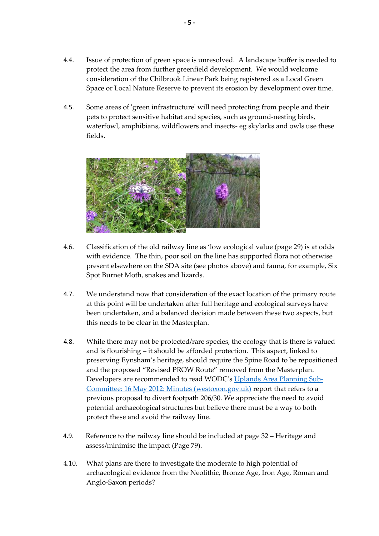- 4.4. Issue of protection of green space is unresolved. A landscape buffer is needed to protect the area from further greenfield development. We would welcome consideration of the Chilbrook Linear Park being registered as a Local Green Space or Local Nature Reserve to prevent its erosion by development over time.
- 4.5. Some areas of 'green infrastructure' will need protecting from people and their pets to protect sensitive habitat and species, such as ground-nesting birds, waterfowl, amphibians, wildflowers and insects- eg skylarks and owls use these fields.



- 4.6. Classification of the old railway line as 'low ecological value (page 29) is at odds with evidence. The thin, poor soil on the line has supported flora not otherwise present elsewhere on the SDA site (see photos above) and fauna, for example, Six Spot Burnet Moth, snakes and lizards.
- 4.7. We understand now that consideration of the exact location of the primary route at this point will be undertaken after full heritage and ecological surveys have been undertaken, and a balanced decision made between these two aspects, but this needs to be clear in the Masterplan.
- 4.8. While there may not be protected/rare species, the ecology that is there is valued and is flourishing – it should be afforded protection. This aspect, linked to preserving Eynsham's heritage, should require the Spine Road to be repositioned and the proposed "Revised PROW Route" removed from the Masterplan. Developers are recommended to read WODC's [Uplands Area Planning Sub-](https://meetings.westoxon.gov.uk/Data/Lowlands%20Area%20Planning%20Sub-Committee/20200713/Agenda/document%20pack.pdf#search=%22FP%20206%2f30%22)[Committee: 16 May 2012: Minutes \(westoxon.gov.uk\)](https://meetings.westoxon.gov.uk/Data/Lowlands%20Area%20Planning%20Sub-Committee/20200713/Agenda/document%20pack.pdf#search=%22FP%20206%2f30%22) report that refers to a previous proposal to divert footpath 206/30. We appreciate the need to avoid potential archaeological structures but believe there must be a way to both protect these and avoid the railway line.
- 4.9. Reference to the railway line should be included at page 32 Heritage and assess/minimise the impact (Page 79).
- 4.10. What plans are there to investigate the moderate to high potential of archaeological evidence from the Neolithic, Bronze Age, Iron Age, Roman and Anglo-Saxon periods?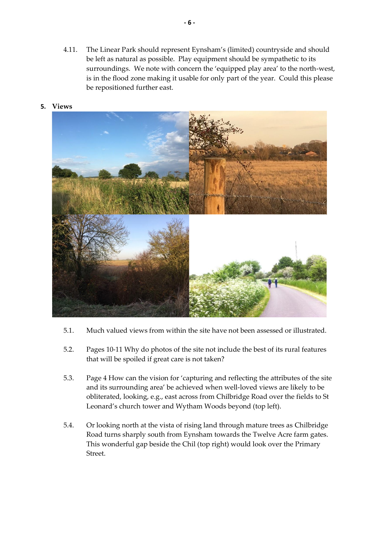4.11. The Linear Park should represent Eynsham's (limited) countryside and should be left as natural as possible. Play equipment should be sympathetic to its surroundings. We note with concern the 'equipped play area' to the north-west, is in the flood zone making it usable for only part of the year. Could this please be repositioned further east.



- 5.1. Much valued views from within the site have not been assessed or illustrated.
- 5.2. Pages 10-11 Why do photos of the site not include the best of its rural features that will be spoiled if great care is not taken?
- 5.3. Page 4 How can the vision for 'capturing and reflecting the attributes of the site and its surrounding area' be achieved when well-loved views are likely to be obliterated, looking, e.g., east across from Chilbridge Road over the fields to St Leonard's church tower and Wytham Woods beyond (top left).
- 5.4. Or looking north at the vista of rising land through mature trees as Chilbridge Road turns sharply south from Eynsham towards the Twelve Acre farm gates. This wonderful gap beside the Chil (top right) would look over the Primary Street.

# **5. Views**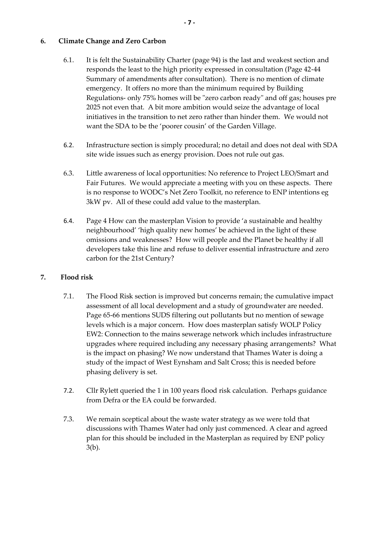## **6. Climate Change and Zero Carbon**

- 6.1. It is felt the Sustainability Charter (page 94) is the last and weakest section and responds the least to the high priority expressed in consultation (Page 42-44 Summary of amendments after consultation). There is no mention of climate emergency. It offers no more than the minimum required by Building Regulations- only 75% homes will be "zero carbon ready" and off gas; houses pre 2025 not even that. A bit more ambition would seize the advantage of local initiatives in the transition to net zero rather than hinder them. We would not want the SDA to be the 'poorer cousin' of the Garden Village.
- 6.2. Infrastructure section is simply procedural; no detail and does not deal with SDA site wide issues such as energy provision. Does not rule out gas.
- 6.3. Little awareness of local opportunities: No reference to Project LEO/Smart and Fair Futures. We would appreciate a meeting with you on these aspects. There is no response to WODC's Net Zero Toolkit, no reference to ENP intentions eg 3kW pv. All of these could add value to the masterplan.
- 6.4. Page 4 How can the masterplan Vision to provide 'a sustainable and healthy neighbourhood' 'high quality new homes' be achieved in the light of these omissions and weaknesses? How will people and the Planet be healthy if all developers take this line and refuse to deliver essential infrastructure and zero carbon for the 21st Century?

## **7. Flood risk**

- 7.1. The Flood Risk section is improved but concerns remain; the cumulative impact assessment of all local development and a study of groundwater are needed. Page 65-66 mentions SUDS filtering out pollutants but no mention of sewage levels which is a major concern. How does masterplan satisfy WOLP Policy EW2: Connection to the mains sewerage network which includes infrastructure upgrades where required including any necessary phasing arrangements? What is the impact on phasing? We now understand that Thames Water is doing a study of the impact of West Eynsham and Salt Cross; this is needed before phasing delivery is set.
- 7.2. Cllr Rylett queried the 1 in 100 years flood risk calculation. Perhaps guidance from Defra or the EA could be forwarded.
- 7.3. We remain sceptical about the waste water strategy as we were told that discussions with Thames Water had only just commenced. A clear and agreed plan for this should be included in the Masterplan as required by ENP policy 3(b).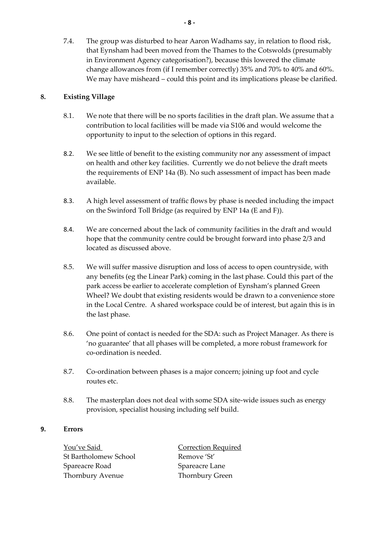7.4. The group was disturbed to hear Aaron Wadhams say, in relation to flood risk, that Eynsham had been moved from the Thames to the Cotswolds (presumably in Environment Agency categorisation?), because this lowered the climate change allowances from (if I remember correctly) 35% and 70% to 40% and 60%. We may have misheard – could this point and its implications please be clarified.

## **8. Existing Village**

- 8.1. We note that there will be no sports facilities in the draft plan. We assume that a contribution to local facilities will be made via S106 and would welcome the opportunity to input to the selection of options in this regard.
- 8.2. We see little of benefit to the existing community nor any assessment of impact on health and other key facilities. Currently we do not believe the draft meets the requirements of ENP 14a (B). No such assessment of impact has been made available.
- 8.3. A high level assessment of traffic flows by phase is needed including the impact on the Swinford Toll Bridge (as required by ENP 14a (E and F)).
- 8.4. We are concerned about the lack of community facilities in the draft and would hope that the community centre could be brought forward into phase 2/3 and located as discussed above.
- 8.5. We will suffer massive disruption and loss of access to open countryside, with any benefits (eg the Linear Park) coming in the last phase. Could this part of the park access be earlier to accelerate completion of Eynsham's planned Green Wheel? We doubt that existing residents would be drawn to a convenience store in the Local Centre. A shared workspace could be of interest, but again this is in the last phase.
- 8.6. One point of contact is needed for the SDA: such as Project Manager. As there is 'no guarantee' that all phases will be completed, a more robust framework for co-ordination is needed.
- 8.7. Co-ordination between phases is a major concern; joining up foot and cycle routes etc.
- 8.8. The masterplan does not deal with some SDA site-wide issues such as energy provision, specialist housing including self build.

### **9. Errors**

You've Said Correction Required St Bartholomew School Remove 'St' Spareacre Road Spareacre Lane Thornbury Avenue Thornbury Green